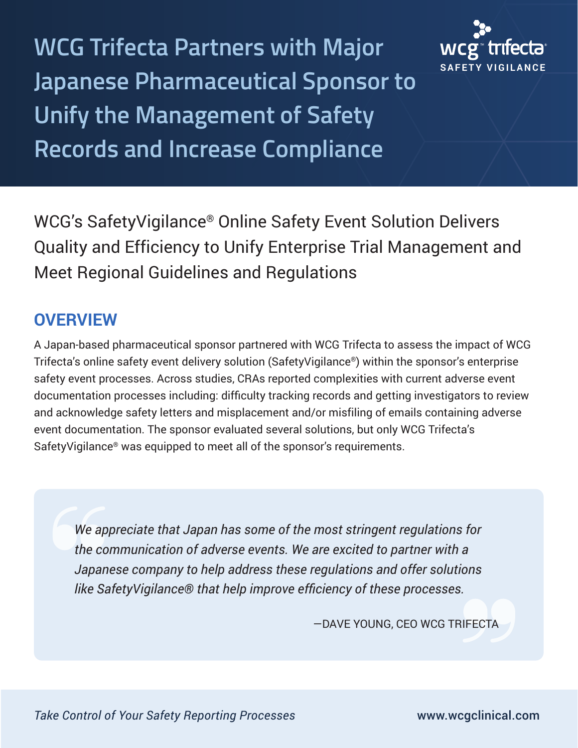**WCG Trifecta Partners with Major Japanese Pharmaceutical Sponsor to Unify the Management of Safety Records and Increase Compliance**



WCG's SafetyVigilance® Online Safety Event Solution Delivers Quality and Efficiency to Unify Enterprise Trial Management and Meet Regional Guidelines and Regulations

## **OVERVIEW**

A Japan-based pharmaceutical sponsor partnered with WCG Trifecta to assess the impact of WCG Trifecta's online safety event delivery solution (SafetyVigilance®) within the sponsor's enterprise safety event processes. Across studies, CRAs reported complexities with current adverse event documentation processes including: difficulty tracking records and getting investigators to review and acknowledge safety letters and misplacement and/or misfiling of emails containing adverse event documentation. The sponsor evaluated several solutions, but only WCG Trifecta's SafetyVigilance® was equipped to meet all of the sponsor's requirements.

*We appreciate that Japan has some of the most stringent regulations for the communication of adverse events. We are excited to partner with a Japanese company to help address these regulations and offer solutions like SafetyVigilance® that help improve efficiency of these processes.*

—DAVE YOUNG, CEO WCG TRIFECTA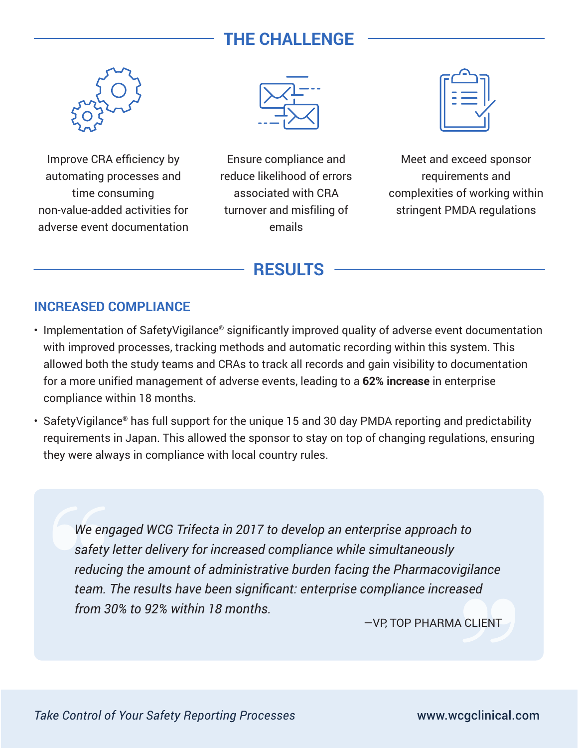## **THE CHALLENGE**



Improve CRA efficiency by automating processes and time consuming non-value-added activities for adverse event documentation



Ensure compliance and reduce likelihood of errors associated with CRA turnover and misfiling of emails

Meet and exceed sponsor requirements and complexities of working within stringent PMDA regulations

### **RESULTS**

#### **INCREASED COMPLIANCE**

- Implementation of SafetyVigilance® significantly improved quality of adverse event documentation with improved processes, tracking methods and automatic recording within this system. This allowed both the study teams and CRAs to track all records and gain visibility to documentation for a more unified management of adverse events, leading to a **62% increase** in enterprise compliance within 18 months.
- SafetyVigilance® has full support for the unique 15 and 30 day PMDA reporting and predictability requirements in Japan. This allowed the sponsor to stay on top of changing regulations, ensuring they were always in compliance with local country rules.

*We engaged WCG Trifecta in 2017 to develop an enterprise approach to safety letter delivery for increased compliance while simultaneously reducing the amount of administrative burden facing the Pharmacovigilance team. The results have been significant: enterprise compliance increased from 30% to 92% within 18 months.*

—VP, TOP PHARMA CLIENT